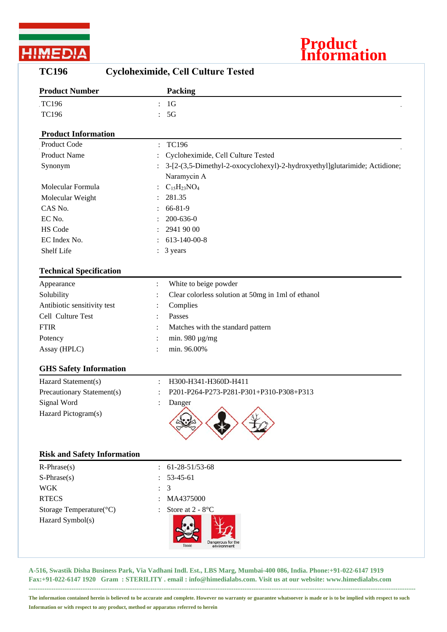



| <b>TC196</b><br><b>Cycloheximide, Cell Culture Tested</b> |                                                                            |  |  |
|-----------------------------------------------------------|----------------------------------------------------------------------------|--|--|
| <b>Product Number</b>                                     | <b>Packing</b>                                                             |  |  |
| TC196                                                     | 1 <sub>G</sub>                                                             |  |  |
| <b>TC196</b>                                              | 5G<br>$\ddot{\cdot}$                                                       |  |  |
| <b>Product Information</b>                                |                                                                            |  |  |
| Product Code                                              | <b>TC196</b><br>$\ddot{\cdot}$                                             |  |  |
| <b>Product Name</b>                                       | Cycloheximide, Cell Culture Tested                                         |  |  |
| Synonym                                                   | 3-[2-(3,5-Dimethyl-2-oxocyclohexyl)-2-hydroxyethyl]glutarimide; Actidione; |  |  |
|                                                           | Naramycin A                                                                |  |  |
| Molecular Formula                                         | $C_{15}H_{23}NO_4$                                                         |  |  |
| Molecular Weight                                          | 281.35                                                                     |  |  |
| CAS No.                                                   | 66-81-9                                                                    |  |  |
| EC No.                                                    | 200-636-0                                                                  |  |  |
| HS Code                                                   | 2941 90 00                                                                 |  |  |
| EC Index No.                                              | 613-140-00-8                                                               |  |  |
| Shelf Life                                                | 3 years                                                                    |  |  |
| <b>Technical Specification</b>                            |                                                                            |  |  |
| Appearance                                                | White to beige powder<br>$\ddot{\cdot}$                                    |  |  |
| Solubility                                                | Clear colorless solution at 50mg in 1ml of ethanol                         |  |  |
| Antibiotic sensitivity test                               | Complies                                                                   |  |  |
| Cell Culture Test                                         | Passes                                                                     |  |  |
| <b>FTIR</b>                                               | Matches with the standard pattern                                          |  |  |
| Potency                                                   | min. 980 $\mu$ g/mg                                                        |  |  |
| Assay (HPLC)                                              | min. 96.00%                                                                |  |  |
| <b>GHS Safety Information</b>                             |                                                                            |  |  |
| Hazard Statement(s)                                       | H300-H341-H360D-H411                                                       |  |  |
| Precautionary Statement(s)                                | P201-P264-P273-P281-P301+P310-P308+P313                                    |  |  |
| Signal Word                                               | Danger                                                                     |  |  |
| Hazard Pictogram(s)                                       |                                                                            |  |  |
| <b>Risk and Safety Information</b>                        |                                                                            |  |  |
| $R$ -Phrase $(s)$                                         | 61-28-51/53-68                                                             |  |  |
| $S-Phrase(s)$                                             | 53-45-61                                                                   |  |  |
| <b>WGK</b>                                                | 3                                                                          |  |  |
| <b>RTECS</b>                                              | MA4375000                                                                  |  |  |
| Storage Temperature(°C)                                   | Store at 2 - 8°C                                                           |  |  |
| Hazard Symbol(s)                                          | Dangerous for th<br>environment                                            |  |  |

**A-516, Swastik Disha Business Park, Via Vadhani Indl. Est., LBS Marg, Mumbai-400 086, India. Phone:+91-022-6147 1919 Fax:+91-022-6147 1920 Gram : STERILITY . email : info@himedialabs.com. Visit us at our website: www.himedialabs.com ----------------------------------------------------------------------------------------------------------------------------------------------------------------------------**

**The information contained herein is believed to be accurate and complete. However no warranty or guarantee whatsoever is made or is to be implied with respect to such Information or with respect to any product, method or apparatus referred to herein**